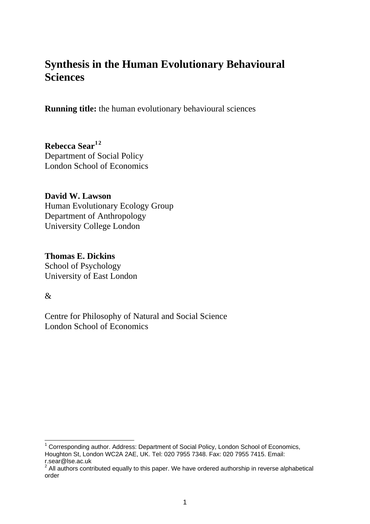# **Synthesis in the Human Evolutionary Behavioural Sciences**

**Running title:** the human evolutionary behavioural sciences

**Rebecca Sear[1](#page-0-0)[2](#page-0-1)** Department of Social Policy London School of Economics

**David W. Lawson**  Human Evolutionary Ecology Group Department of Anthropology University College London

**Thomas E. Dickins**  School of Psychology University of East London

&

Centre for Philosophy of Natural and Social Science London School of Economics

<span id="page-0-0"></span> 1 Corresponding author. Address: Department of Social Policy, London School of Economics, Houghton St, London WC2A 2AE, UK. Tel: 020 7955 7348. Fax: 020 7955 7415. Email:

<span id="page-0-1"></span>r.sear@lse.ac.uk<br><sup>2</sup> All authors contributed equally to this paper. We have ordered authorship in reverse alphabetical order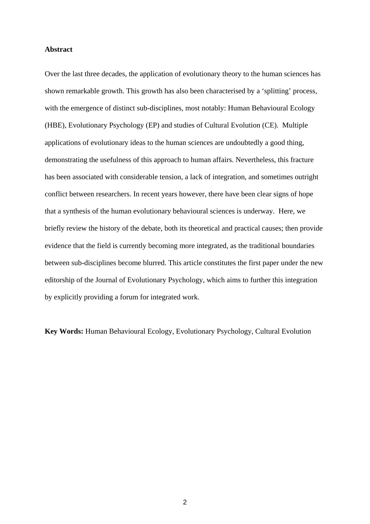# **Abstract**

Over the last three decades, the application of evolutionary theory to the human sciences has shown remarkable growth. This growth has also been characterised by a 'splitting' process, with the emergence of distinct sub-disciplines, most notably: Human Behavioural Ecology (HBE), Evolutionary Psychology (EP) and studies of Cultural Evolution (CE). Multiple applications of evolutionary ideas to the human sciences are undoubtedly a good thing, demonstrating the usefulness of this approach to human affairs. Nevertheless, this fracture has been associated with considerable tension, a lack of integration, and sometimes outright conflict between researchers. In recent years however, there have been clear signs of hope that a synthesis of the human evolutionary behavioural sciences is underway. Here, we briefly review the history of the debate, both its theoretical and practical causes; then provide evidence that the field is currently becoming more integrated, as the traditional boundaries between sub-disciplines become blurred. This article constitutes the first paper under the new editorship of the Journal of Evolutionary Psychology, which aims to further this integration by explicitly providing a forum for integrated work.

**Key Words:** Human Behavioural Ecology, Evolutionary Psychology, Cultural Evolution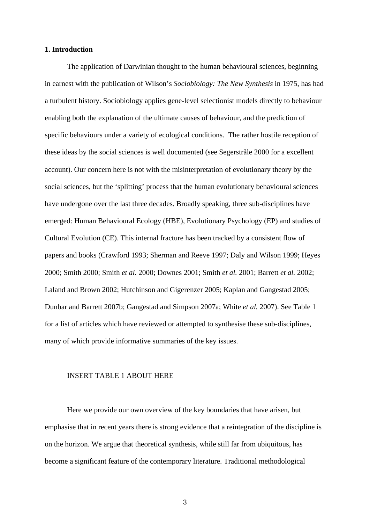# **1. Introduction**

The application of Darwinian thought to the human behavioural sciences, beginning in earnest with the publication of Wilson's *Sociobiology: The New Synthesis* in 1975, has had a turbulent history. Sociobiology applies gene-level selectionist models directly to behaviour enabling both the explanation of the ultimate causes of behaviour, and the prediction of specific behaviours under a variety of ecological conditions. The rather hostile reception of these ideas by the social sciences is well documented (see Segerstråle 2000 for a excellent account). Our concern here is not with the misinterpretation of evolutionary theory by the social sciences, but the 'splitting' process that the human evolutionary behavioural sciences have undergone over the last three decades. Broadly speaking, three sub-disciplines have emerged: Human Behavioural Ecology (HBE), Evolutionary Psychology (EP) and studies of Cultural Evolution (CE). This internal fracture has been tracked by a consistent flow of papers and books (Crawford 1993; Sherman and Reeve 1997; Daly and Wilson 1999; Heyes 2000; Smith 2000; Smith *et al.* 2000; Downes 2001; Smith *et al.* 2001; Barrett *et al.* 2002; Laland and Brown 2002; Hutchinson and Gigerenzer 2005; Kaplan and Gangestad 2005; Dunbar and Barrett 2007b; Gangestad and Simpson 2007a; White *et al.* 2007). See Table 1 for a list of articles which have reviewed or attempted to synthesise these sub-disciplines, many of which provide informative summaries of the key issues.

#### INSERT TABLE 1 ABOUT HERE

Here we provide our own overview of the key boundaries that have arisen, but emphasise that in recent years there is strong evidence that a reintegration of the discipline is on the horizon. We argue that theoretical synthesis, while still far from ubiquitous, has become a significant feature of the contemporary literature. Traditional methodological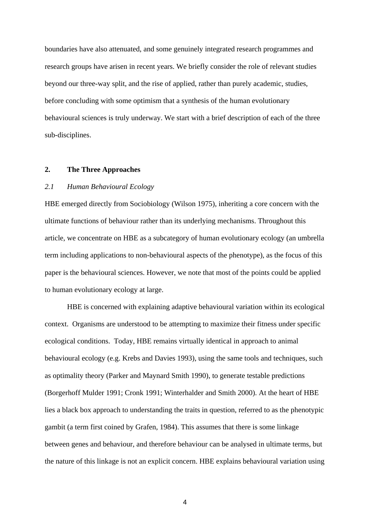boundaries have also attenuated, and some genuinely integrated research programmes and research groups have arisen in recent years. We briefly consider the role of relevant studies beyond our three-way split, and the rise of applied, rather than purely academic, studies, before concluding with some optimism that a synthesis of the human evolutionary behavioural sciences is truly underway. We start with a brief description of each of the three sub-disciplines.

## **2. The Three Approaches**

# *2.1 Human Behavioural Ecology*

HBE emerged directly from Sociobiology (Wilson 1975), inheriting a core concern with the ultimate functions of behaviour rather than its underlying mechanisms. Throughout this article, we concentrate on HBE as a subcategory of human evolutionary ecology (an umbrella term including applications to non-behavioural aspects of the phenotype), as the focus of this paper is the behavioural sciences. However, we note that most of the points could be applied to human evolutionary ecology at large.

HBE is concerned with explaining adaptive behavioural variation within its ecological context. Organisms are understood to be attempting to maximize their fitness under specific ecological conditions. Today, HBE remains virtually identical in approach to animal behavioural ecology (e.g. Krebs and Davies 1993), using the same tools and techniques, such as optimality theory (Parker and Maynard Smith 1990), to generate testable predictions (Borgerhoff Mulder 1991; Cronk 1991; Winterhalder and Smith 2000). At the heart of HBE lies a black box approach to understanding the traits in question, referred to as the phenotypic gambit (a term first coined by Grafen, 1984). This assumes that there is some linkage between genes and behaviour, and therefore behaviour can be analysed in ultimate terms, but the nature of this linkage is not an explicit concern. HBE explains behavioural variation using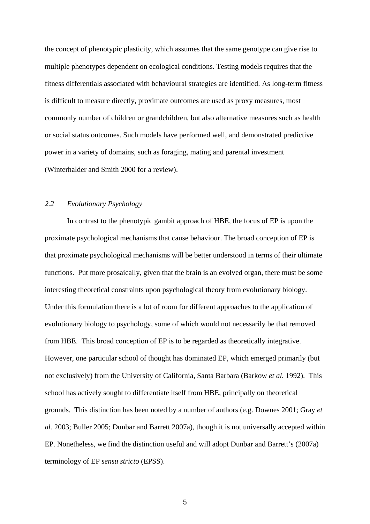the concept of phenotypic plasticity, which assumes that the same genotype can give rise to multiple phenotypes dependent on ecological conditions. Testing models requires that the fitness differentials associated with behavioural strategies are identified. As long-term fitness is difficult to measure directly, proximate outcomes are used as proxy measures, most commonly number of children or grandchildren, but also alternative measures such as health or social status outcomes. Such models have performed well, and demonstrated predictive power in a variety of domains, such as foraging, mating and parental investment (Winterhalder and Smith 2000 for a review).

# *2.2 Evolutionary Psychology*

In contrast to the phenotypic gambit approach of HBE, the focus of EP is upon the proximate psychological mechanisms that cause behaviour. The broad conception of EP is that proximate psychological mechanisms will be better understood in terms of their ultimate functions. Put more prosaically, given that the brain is an evolved organ, there must be some interesting theoretical constraints upon psychological theory from evolutionary biology. Under this formulation there is a lot of room for different approaches to the application of evolutionary biology to psychology, some of which would not necessarily be that removed from HBE. This broad conception of EP is to be regarded as theoretically integrative. However, one particular school of thought has dominated EP, which emerged primarily (but not exclusively) from the University of California, Santa Barbara (Barkow *et al.* 1992). This school has actively sought to differentiate itself from HBE, principally on theoretical grounds. This distinction has been noted by a number of authors (e.g. Downes 2001; Gray *et al.* 2003; Buller 2005; Dunbar and Barrett 2007a), though it is not universally accepted within EP. Nonetheless, we find the distinction useful and will adopt Dunbar and Barrett's (2007a) terminology of EP *sensu stricto* (EPSS).

 $\sim$  5  $\sim$  5  $\sim$  5  $\sim$  5  $\sim$  5  $\sim$  5  $\sim$  5  $\sim$  5  $\sim$  5  $\sim$  5  $\sim$  5  $\sim$  5  $\sim$  5  $\sim$  5  $\sim$  5  $\sim$  5  $\sim$  5  $\sim$  5  $\sim$  5  $\sim$  5  $\sim$  5  $\sim$  5  $\sim$  5  $\sim$  5  $\sim$  5  $\sim$  5  $\sim$  5  $\sim$  5  $\sim$  5  $\sim$  5  $\sim$  5  $\sim$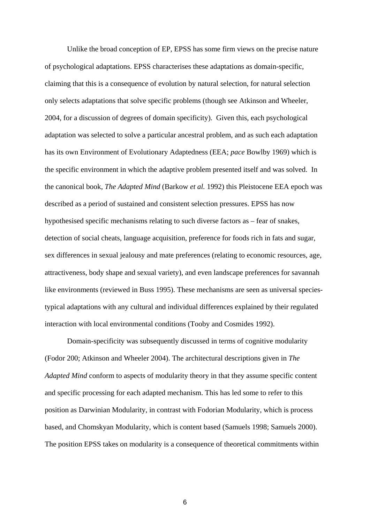Unlike the broad conception of EP, EPSS has some firm views on the precise nature of psychological adaptations. EPSS characterises these adaptations as domain-specific, claiming that this is a consequence of evolution by natural selection, for natural selection only selects adaptations that solve specific problems (though see Atkinson and Wheeler, 2004, for a discussion of degrees of domain specificity). Given this, each psychological adaptation was selected to solve a particular ancestral problem, and as such each adaptation has its own Environment of Evolutionary Adaptedness (EEA; *pace* Bowlby 1969) which is the specific environment in which the adaptive problem presented itself and was solved. In the canonical book, *The Adapted Mind* (Barkow *et al.* 1992) this Pleistocene EEA epoch was described as a period of sustained and consistent selection pressures. EPSS has now hypothesised specific mechanisms relating to such diverse factors as – fear of snakes, detection of social cheats, language acquisition, preference for foods rich in fats and sugar, sex differences in sexual jealousy and mate preferences (relating to economic resources, age, attractiveness, body shape and sexual variety), and even landscape preferences for savannah like environments (reviewed in Buss 1995). These mechanisms are seen as universal speciestypical adaptations with any cultural and individual differences explained by their regulated interaction with local environmental conditions (Tooby and Cosmides 1992).

Domain-specificity was subsequently discussed in terms of cognitive modularity (Fodor 200; Atkinson and Wheeler 2004). The architectural descriptions given in *The Adapted Mind* conform to aspects of modularity theory in that they assume specific content and specific processing for each adapted mechanism. This has led some to refer to this position as Darwinian Modularity, in contrast with Fodorian Modularity, which is process based, and Chomskyan Modularity, which is content based (Samuels 1998; Samuels 2000). The position EPSS takes on modularity is a consequence of theoretical commitments within

 $\sim$  600  $\sim$  600  $\sim$  600  $\sim$  600  $\sim$  600  $\sim$  600  $\sim$  600  $\sim$  600  $\sim$  600  $\sim$  600  $\sim$  600  $\sim$  600  $\sim$  600  $\sim$  600  $\sim$  600  $\sim$  600  $\sim$  600  $\sim$  600  $\sim$  600  $\sim$  600  $\sim$  600  $\sim$  600  $\sim$  600  $\sim$  600  $\sim$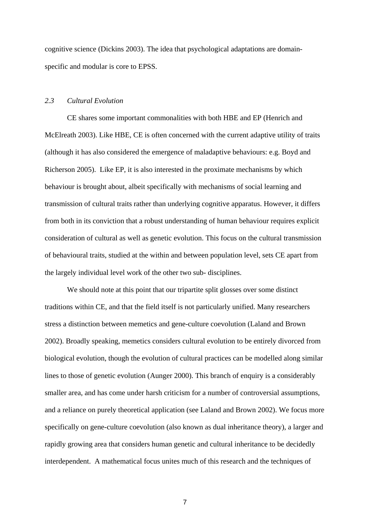cognitive science (Dickins 2003). The idea that psychological adaptations are domainspecific and modular is core to EPSS.

# *2.3 Cultural Evolution*

CE shares some important commonalities with both HBE and EP (Henrich and McElreath 2003). Like HBE, CE is often concerned with the current adaptive utility of traits (although it has also considered the emergence of maladaptive behaviours: e.g. Boyd and Richerson 2005). Like EP, it is also interested in the proximate mechanisms by which behaviour is brought about, albeit specifically with mechanisms of social learning and transmission of cultural traits rather than underlying cognitive apparatus. However, it differs from both in its conviction that a robust understanding of human behaviour requires explicit consideration of cultural as well as genetic evolution. This focus on the cultural transmission of behavioural traits, studied at the within and between population level, sets CE apart from the largely individual level work of the other two sub- disciplines.

We should note at this point that our tripartite split glosses over some distinct traditions within CE, and that the field itself is not particularly unified. Many researchers stress a distinction between memetics and gene-culture coevolution (Laland and Brown 2002). Broadly speaking, memetics considers cultural evolution to be entirely divorced from biological evolution, though the evolution of cultural practices can be modelled along similar lines to those of genetic evolution (Aunger 2000). This branch of enquiry is a considerably smaller area, and has come under harsh criticism for a number of controversial assumptions, and a reliance on purely theoretical application (see Laland and Brown 2002). We focus more specifically on gene-culture coevolution (also known as dual inheritance theory), a larger and rapidly growing area that considers human genetic and cultural inheritance to be decidedly interdependent. A mathematical focus unites much of this research and the techniques of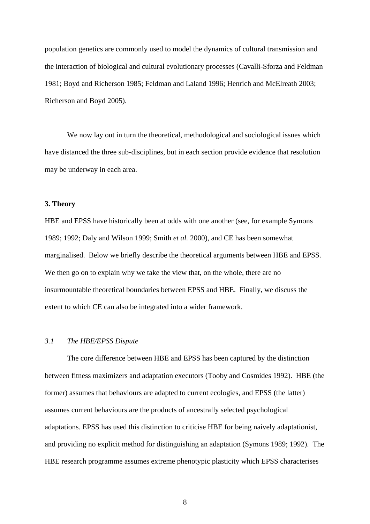population genetics are commonly used to model the dynamics of cultural transmission and the interaction of biological and cultural evolutionary processes (Cavalli-Sforza and Feldman 1981; Boyd and Richerson 1985; Feldman and Laland 1996; Henrich and McElreath 2003; Richerson and Boyd 2005).

We now lay out in turn the theoretical, methodological and sociological issues which have distanced the three sub-disciplines, but in each section provide evidence that resolution may be underway in each area.

# **3. Theory**

HBE and EPSS have historically been at odds with one another (see, for example Symons 1989; 1992; Daly and Wilson 1999; Smith *et al.* 2000), and CE has been somewhat marginalised. Below we briefly describe the theoretical arguments between HBE and EPSS. We then go on to explain why we take the view that, on the whole, there are no insurmountable theoretical boundaries between EPSS and HBE. Finally, we discuss the extent to which CE can also be integrated into a wider framework.

#### *3.1 The HBE/EPSS Dispute*

The core difference between HBE and EPSS has been captured by the distinction between fitness maximizers and adaptation executors (Tooby and Cosmides 1992). HBE (the former) assumes that behaviours are adapted to current ecologies, and EPSS (the latter) assumes current behaviours are the products of ancestrally selected psychological adaptations. EPSS has used this distinction to criticise HBE for being naively adaptationist, and providing no explicit method for distinguishing an adaptation (Symons 1989; 1992). The HBE research programme assumes extreme phenotypic plasticity which EPSS characterises

entities and the state of the state of the state of the state of the state of the state of the state of the st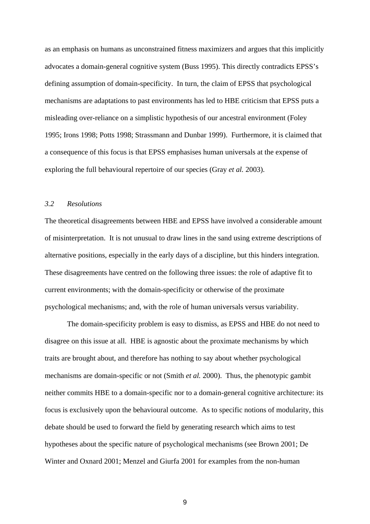as an emphasis on humans as unconstrained fitness maximizers and argues that this implicitly advocates a domain-general cognitive system (Buss 1995). This directly contradicts EPSS's defining assumption of domain-specificity. In turn, the claim of EPSS that psychological mechanisms are adaptations to past environments has led to HBE criticism that EPSS puts a misleading over-reliance on a simplistic hypothesis of our ancestral environment (Foley 1995; Irons 1998; Potts 1998; Strassmann and Dunbar 1999). Furthermore, it is claimed that a consequence of this focus is that EPSS emphasises human universals at the expense of exploring the full behavioural repertoire of our species (Gray *et al.* 2003).

# *3.2 Resolutions*

The theoretical disagreements between HBE and EPSS have involved a considerable amount of misinterpretation. It is not unusual to draw lines in the sand using extreme descriptions of alternative positions, especially in the early days of a discipline, but this hinders integration. These disagreements have centred on the following three issues: the role of adaptive fit to current environments; with the domain-specificity or otherwise of the proximate psychological mechanisms; and, with the role of human universals versus variability.

The domain-specificity problem is easy to dismiss, as EPSS and HBE do not need to disagree on this issue at all. HBE is agnostic about the proximate mechanisms by which traits are brought about, and therefore has nothing to say about whether psychological mechanisms are domain-specific or not (Smith *et al.* 2000). Thus, the phenotypic gambit neither commits HBE to a domain-specific nor to a domain-general cognitive architecture: its focus is exclusively upon the behavioural outcome. As to specific notions of modularity, this debate should be used to forward the field by generating research which aims to test hypotheses about the specific nature of psychological mechanisms (see Brown 2001; De Winter and Oxnard 2001; Menzel and Giurfa 2001 for examples from the non-human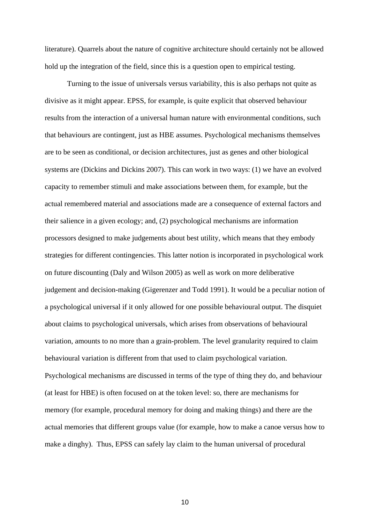literature). Quarrels about the nature of cognitive architecture should certainly not be allowed hold up the integration of the field, since this is a question open to empirical testing.

Turning to the issue of universals versus variability, this is also perhaps not quite as divisive as it might appear. EPSS, for example, is quite explicit that observed behaviour results from the interaction of a universal human nature with environmental conditions, such that behaviours are contingent, just as HBE assumes. Psychological mechanisms themselves are to be seen as conditional, or decision architectures, just as genes and other biological systems are (Dickins and Dickins 2007). This can work in two ways: (1) we have an evolved capacity to remember stimuli and make associations between them, for example, but the actual remembered material and associations made are a consequence of external factors and their salience in a given ecology; and, (2) psychological mechanisms are information processors designed to make judgements about best utility, which means that they embody strategies for different contingencies. This latter notion is incorporated in psychological work on future discounting (Daly and Wilson 2005) as well as work on more deliberative judgement and decision-making (Gigerenzer and Todd 1991). It would be a peculiar notion of a psychological universal if it only allowed for one possible behavioural output. The disquiet about claims to psychological universals, which arises from observations of behavioural variation, amounts to no more than a grain-problem. The level granularity required to claim behavioural variation is different from that used to claim psychological variation. Psychological mechanisms are discussed in terms of the type of thing they do, and behaviour (at least for HBE) is often focused on at the token level: so, there are mechanisms for memory (for example, procedural memory for doing and making things) and there are the actual memories that different groups value (for example, how to make a canoe versus how to make a dinghy). Thus, EPSS can safely lay claim to the human universal of procedural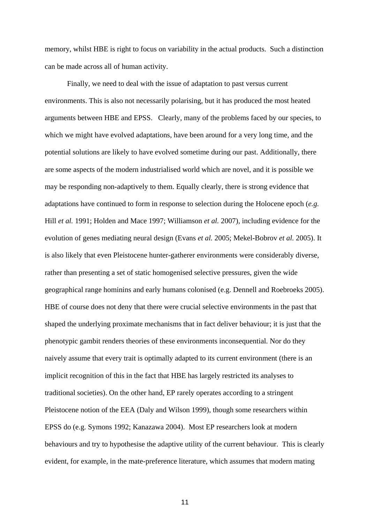memory, whilst HBE is right to focus on variability in the actual products. Such a distinction can be made across all of human activity.

Finally, we need to deal with the issue of adaptation to past versus current environments. This is also not necessarily polarising, but it has produced the most heated arguments between HBE and EPSS. Clearly, many of the problems faced by our species, to which we might have evolved adaptations, have been around for a very long time, and the potential solutions are likely to have evolved sometime during our past. Additionally, there are some aspects of the modern industrialised world which are novel, and it is possible we may be responding non-adaptively to them. Equally clearly, there is strong evidence that adaptations have continued to form in response to selection during the Holocene epoch (*e.g.*  Hill *et al.* 1991; Holden and Mace 1997; Williamson *et al.* 2007), including evidence for the evolution of genes mediating neural design (Evans *et al.* 2005; Mekel-Bobrov *et al.* 2005). It is also likely that even Pleistocene hunter-gatherer environments were considerably diverse, rather than presenting a set of static homogenised selective pressures, given the wide geographical range hominins and early humans colonised (e.g. Dennell and Roebroeks 2005). HBE of course does not deny that there were crucial selective environments in the past that shaped the underlying proximate mechanisms that in fact deliver behaviour; it is just that the phenotypic gambit renders theories of these environments inconsequential. Nor do they naively assume that every trait is optimally adapted to its current environment (there is an implicit recognition of this in the fact that HBE has largely restricted its analyses to traditional societies). On the other hand, EP rarely operates according to a stringent Pleistocene notion of the EEA (Daly and Wilson 1999), though some researchers within EPSS do (e.g. Symons 1992; Kanazawa 2004). Most EP researchers look at modern behaviours and try to hypothesise the adaptive utility of the current behaviour. This is clearly evident, for example, in the mate-preference literature, which assumes that modern mating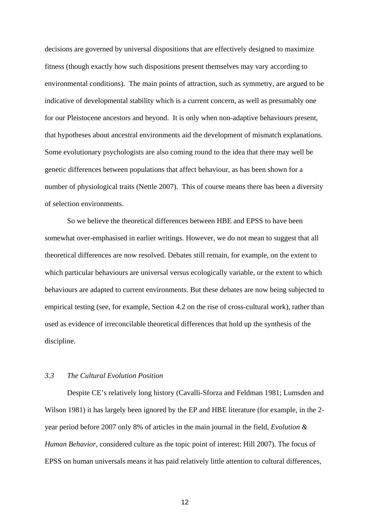decisions are governed by universal dispositions that are effectively designed to maximize fitness (though exactly how such dispositions present themselves may vary according to environmental conditions). The main points of attraction, such as symmetry, are argued to be indicative of developmental stability which is a current concern, as well as presumably one for our Pleistocene ancestors and beyond. It is only when non-adaptive behaviours present, that hypotheses about ancestral environments aid the development of mismatch explanations. Some evolutionary psychologists are also coming round to the idea that there may well be genetic differences between populations that affect behaviour, as has been shown for a number of physiological traits (Nettle 2007). This of course means there has been a diversity of selection environments.

So we believe the theoretical differences between HBE and EPSS to have been somewhat over-emphasised in earlier writings. However, we do not mean to suggest that all theoretical differences are now resolved. Debates still remain, for example, on the extent to which particular behaviours are universal versus ecologically variable, or the extent to which behaviours are adapted to current environments. But these debates are now being subjected to empirical testing (see, for example, Section 4.2 on the rise of cross-cultural work), rather than used as evidence of irreconcilable theoretical differences that hold up the synthesis of the discipline.

# *3.3 The Cultural Evolution Position*

Despite CE's relatively long history (Cavalli-Sforza and Feldman 1981; Lumsden and Wilson 1981) it has largely been ignored by the EP and HBE literature (for example, in the 2 year period before 2007 only 8% of articles in the main journal in the field, *Evolution & Human Behavior*, considered culture as the topic point of interest: Hill 2007). The focus of EPSS on human universals means it has paid relatively little attention to cultural differences,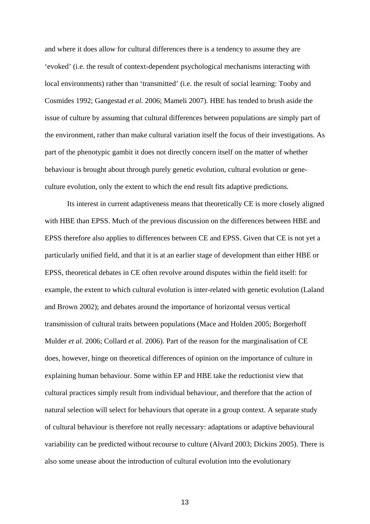and where it does allow for cultural differences there is a tendency to assume they are 'evoked' (i.e. the result of context-dependent psychological mechanisms interacting with local environments) rather than 'transmitted' (i.e. the result of social learning: Tooby and Cosmides 1992; Gangestad *et al.* 2006; Mameli 2007). HBE has tended to brush aside the issue of culture by assuming that cultural differences between populations are simply part of the environment, rather than make cultural variation itself the focus of their investigations. As part of the phenotypic gambit it does not directly concern itself on the matter of whether behaviour is brought about through purely genetic evolution, cultural evolution or geneculture evolution, only the extent to which the end result fits adaptive predictions.

Its interest in current adaptiveness means that theoretically CE is more closely aligned with HBE than EPSS. Much of the previous discussion on the differences between HBE and EPSS therefore also applies to differences between CE and EPSS. Given that CE is not yet a particularly unified field, and that it is at an earlier stage of development than either HBE or EPSS, theoretical debates in CE often revolve around disputes within the field itself: for example, the extent to which cultural evolution is inter-related with genetic evolution (Laland and Brown 2002); and debates around the importance of horizontal versus vertical transmission of cultural traits between populations (Mace and Holden 2005; Borgerhoff Mulder *et al.* 2006; Collard *et al.* 2006). Part of the reason for the marginalisation of CE does, however, hinge on theoretical differences of opinion on the importance of culture in explaining human behaviour. Some within EP and HBE take the reductionist view that cultural practices simply result from individual behaviour, and therefore that the action of natural selection will select for behaviours that operate in a group context. A separate study of cultural behaviour is therefore not really necessary: adaptations or adaptive behavioural variability can be predicted without recourse to culture (Alvard 2003; Dickins 2005). There is also some unease about the introduction of cultural evolution into the evolutionary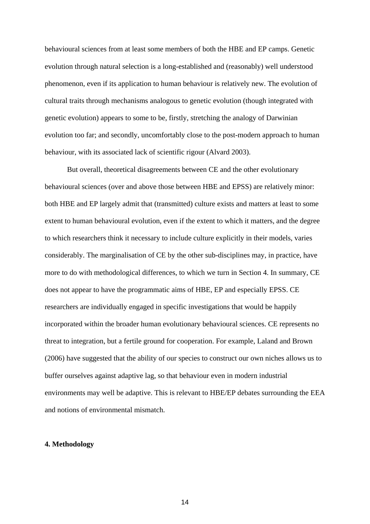behavioural sciences from at least some members of both the HBE and EP camps. Genetic evolution through natural selection is a long-established and (reasonably) well understood phenomenon, even if its application to human behaviour is relatively new. The evolution of cultural traits through mechanisms analogous to genetic evolution (though integrated with genetic evolution) appears to some to be, firstly, stretching the analogy of Darwinian evolution too far; and secondly, uncomfortably close to the post-modern approach to human behaviour, with its associated lack of scientific rigour (Alvard 2003).

But overall, theoretical disagreements between CE and the other evolutionary behavioural sciences (over and above those between HBE and EPSS) are relatively minor: both HBE and EP largely admit that (transmitted) culture exists and matters at least to some extent to human behavioural evolution, even if the extent to which it matters, and the degree to which researchers think it necessary to include culture explicitly in their models, varies considerably. The marginalisation of CE by the other sub-disciplines may, in practice, have more to do with methodological differences, to which we turn in Section 4. In summary, CE does not appear to have the programmatic aims of HBE, EP and especially EPSS. CE researchers are individually engaged in specific investigations that would be happily incorporated within the broader human evolutionary behavioural sciences. CE represents no threat to integration, but a fertile ground for cooperation. For example, Laland and Brown (2006) have suggested that the ability of our species to construct our own niches allows us to buffer ourselves against adaptive lag, so that behaviour even in modern industrial environments may well be adaptive. This is relevant to HBE/EP debates surrounding the EEA and notions of environmental mismatch.

# **4. Methodology**

 $\sim$  14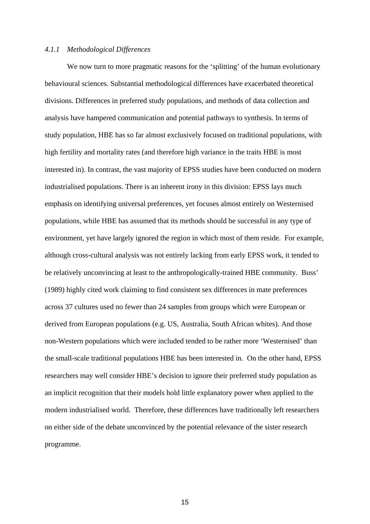# *4.1.1 Methodological Differences*

We now turn to more pragmatic reasons for the 'splitting' of the human evolutionary behavioural sciences. Substantial methodological differences have exacerbated theoretical divisions. Differences in preferred study populations, and methods of data collection and analysis have hampered communication and potential pathways to synthesis. In terms of study population, HBE has so far almost exclusively focused on traditional populations, with high fertility and mortality rates (and therefore high variance in the traits HBE is most interested in). In contrast, the vast majority of EPSS studies have been conducted on modern industrialised populations. There is an inherent irony in this division: EPSS lays much emphasis on identifying universal preferences, yet focuses almost entirely on Westernised populations, while HBE has assumed that its methods should be successful in any type of environment, yet have largely ignored the region in which most of them reside. For example, although cross-cultural analysis was not entirely lacking from early EPSS work, it tended to be relatively unconvincing at least to the anthropologically-trained HBE community. Buss' (1989) highly cited work claiming to find consistent sex differences in mate preferences across 37 cultures used no fewer than 24 samples from groups which were European or derived from European populations (e.g. US, Australia, South African whites). And those non-Western populations which were included tended to be rather more 'Westernised' than the small-scale traditional populations HBE has been interested in. On the other hand, EPSS researchers may well consider HBE's decision to ignore their preferred study population as an implicit recognition that their models hold little explanatory power when applied to the modern industrialised world. Therefore, these differences have traditionally left researchers on either side of the debate unconvinced by the potential relevance of the sister research programme.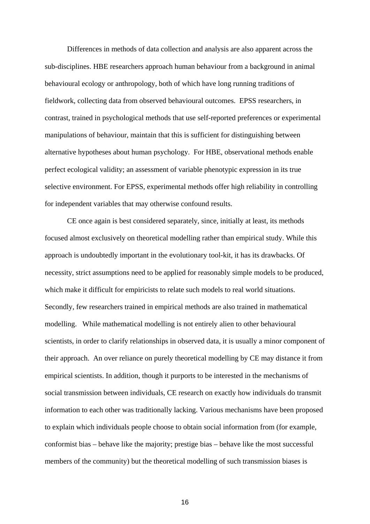Differences in methods of data collection and analysis are also apparent across the sub-disciplines. HBE researchers approach human behaviour from a background in animal behavioural ecology or anthropology, both of which have long running traditions of fieldwork, collecting data from observed behavioural outcomes. EPSS researchers, in contrast, trained in psychological methods that use self-reported preferences or experimental manipulations of behaviour, maintain that this is sufficient for distinguishing between alternative hypotheses about human psychology. For HBE, observational methods enable perfect ecological validity; an assessment of variable phenotypic expression in its true selective environment. For EPSS, experimental methods offer high reliability in controlling for independent variables that may otherwise confound results.

CE once again is best considered separately, since, initially at least, its methods focused almost exclusively on theoretical modelling rather than empirical study. While this approach is undoubtedly important in the evolutionary tool-kit, it has its drawbacks. Of necessity, strict assumptions need to be applied for reasonably simple models to be produced, which make it difficult for empiricists to relate such models to real world situations. Secondly, few researchers trained in empirical methods are also trained in mathematical modelling. While mathematical modelling is not entirely alien to other behavioural scientists, in order to clarify relationships in observed data, it is usually a minor component of their approach. An over reliance on purely theoretical modelling by CE may distance it from empirical scientists. In addition, though it purports to be interested in the mechanisms of social transmission between individuals, CE research on exactly how individuals do transmit information to each other was traditionally lacking. Various mechanisms have been proposed to explain which individuals people choose to obtain social information from (for example, conformist bias – behave like the majority; prestige bias – behave like the most successful members of the community) but the theoretical modelling of such transmission biases is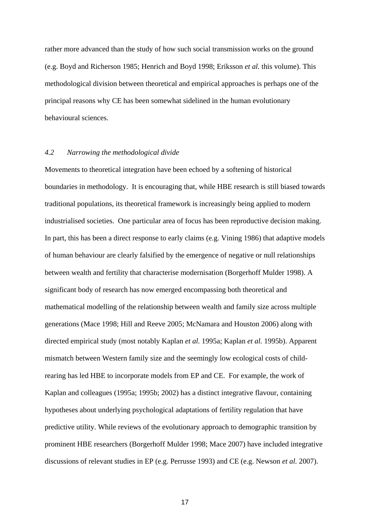rather more advanced than the study of how such social transmission works on the ground (e.g. Boyd and Richerson 1985; Henrich and Boyd 1998; Eriksson *et al.* this volume). This methodological division between theoretical and empirical approaches is perhaps one of the principal reasons why CE has been somewhat sidelined in the human evolutionary behavioural sciences.

#### *4.2 Narrowing the methodological divide*

Movements to theoretical integration have been echoed by a softening of historical boundaries in methodology. It is encouraging that, while HBE research is still biased towards traditional populations, its theoretical framework is increasingly being applied to modern industrialised societies. One particular area of focus has been reproductive decision making. In part, this has been a direct response to early claims (e.g. Vining 1986) that adaptive models of human behaviour are clearly falsified by the emergence of negative or null relationships between wealth and fertility that characterise modernisation (Borgerhoff Mulder 1998). A significant body of research has now emerged encompassing both theoretical and mathematical modelling of the relationship between wealth and family size across multiple generations (Mace 1998; Hill and Reeve 2005; McNamara and Houston 2006) along with directed empirical study (most notably Kaplan *et al.* 1995a; Kaplan *et al.* 1995b). Apparent mismatch between Western family size and the seemingly low ecological costs of childrearing has led HBE to incorporate models from EP and CE. For example, the work of Kaplan and colleagues (1995a; 1995b; 2002) has a distinct integrative flavour, containing hypotheses about underlying psychological adaptations of fertility regulation that have predictive utility. While reviews of the evolutionary approach to demographic transition by prominent HBE researchers (Borgerhoff Mulder 1998; Mace 2007) have included integrative discussions of relevant studies in EP (e.g. Perrusse 1993) and CE (e.g. Newson *et al.* 2007).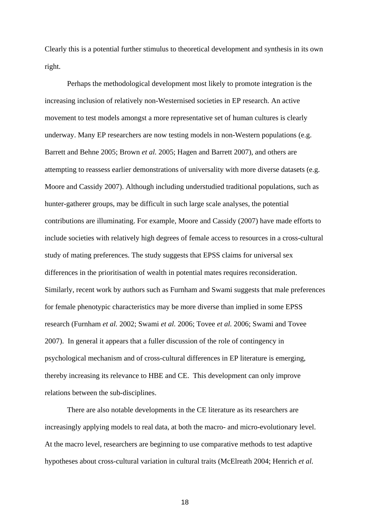Clearly this is a potential further stimulus to theoretical development and synthesis in its own right.

Perhaps the methodological development most likely to promote integration is the increasing inclusion of relatively non-Westernised societies in EP research. An active movement to test models amongst a more representative set of human cultures is clearly underway. Many EP researchers are now testing models in non-Western populations (e.g. Barrett and Behne 2005; Brown *et al.* 2005; Hagen and Barrett 2007), and others are attempting to reassess earlier demonstrations of universality with more diverse datasets (e.g. Moore and Cassidy 2007). Although including understudied traditional populations, such as hunter-gatherer groups, may be difficult in such large scale analyses, the potential contributions are illuminating. For example, Moore and Cassidy (2007) have made efforts to include societies with relatively high degrees of female access to resources in a cross-cultural study of mating preferences. The study suggests that EPSS claims for universal sex differences in the prioritisation of wealth in potential mates requires reconsideration. Similarly, recent work by authors such as Furnham and Swami suggests that male preferences for female phenotypic characteristics may be more diverse than implied in some EPSS research (Furnham *et al.* 2002; Swami *et al.* 2006; Tovee *et al.* 2006; Swami and Tovee 2007). In general it appears that a fuller discussion of the role of contingency in psychological mechanism and of cross-cultural differences in EP literature is emerging, thereby increasing its relevance to HBE and CE. This development can only improve relations between the sub-disciplines.

There are also notable developments in the CE literature as its researchers are increasingly applying models to real data, at both the macro- and micro-evolutionary level. At the macro level, researchers are beginning to use comparative methods to test adaptive hypotheses about cross-cultural variation in cultural traits (McElreath 2004; Henrich *et al.*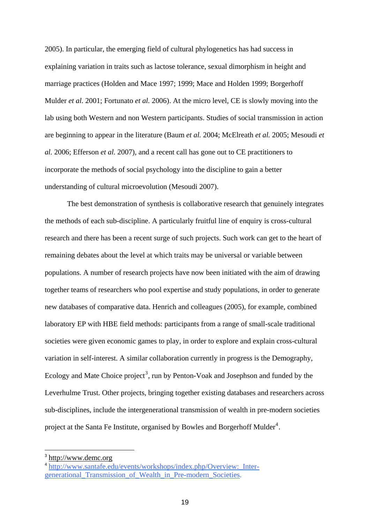<span id="page-18-0"></span>2005). In particular, the emerging field of cultural phylogenetics has had success in explaining variation in traits such as lactose tolerance, sexual dimorphism in height and marriage practices (Holden and Mace 1997; 1999; Mace and Holden 1999; Borgerhoff Mulder *et al.* 2001; Fortunato *et al.* 2006). At the micro level, CE is slowly moving into the lab using both Western and non Western participants. Studies of social transmission in action are beginning to appear in the literature (Baum *et al.* 2004; McElreath *et al.* 2005; Mesoudi *et al.* 2006; Efferson *et al.* 2007), and a recent call has gone out to CE practitioners to incorporate the methods of social psychology into the discipline to gain a better understanding of cultural microevolution (Mesoudi 2007).

The best demonstration of synthesis is collaborative research that genuinely integrates the methods of each sub-discipline. A particularly fruitful line of enquiry is cross-cultural research and there has been a recent surge of such projects. Such work can get to the heart of remaining debates about the level at which traits may be universal or variable between populations. A number of research projects have now been initiated with the aim of drawing together teams of researchers who pool expertise and study populations, in order to generate new databases of comparative data. Henrich and colleagues (2005), for example, combined laboratory EP with HBE field methods: participants from a range of small-scale traditional societies were given economic games to play, in order to explore and explain cross-cultural variation in self-interest. A similar collaboration currently in progress is the Demography, Ecology and Mate Choice project<sup>[3](#page-18-0)</sup>, run by Penton-Voak and Josephson and funded by the Leverhulme Trust. Other projects, bringing together existing databases and researchers across sub-disciplines, include the intergenerational transmission of wealth in pre-modern societies project at the Santa Fe Institute, organised by Bowles and Borgerhoff Mulder<sup>[4](#page-18-0)</sup>.

-

<sup>3</sup> [http://www.demc.org](http://www.demc.org/)

<sup>4</sup> [http://www.santafe.edu/events/workshops/index.php/Overview:\\_Inter](http://www.santafe.edu/events/workshops/index.php/Overview:_Inter-generational_Transmission_of_Wealth_in_Pre-modern_Societies)generational Transmission of Wealth in Pre-modern Societies.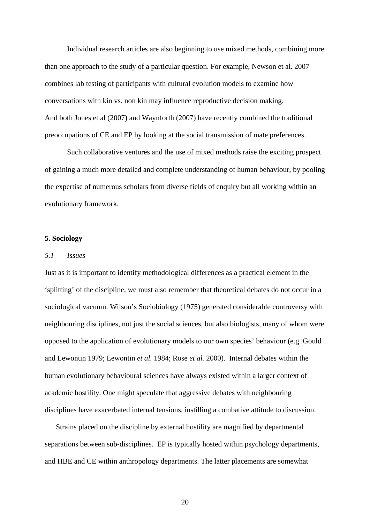Individual research articles are also beginning to use mixed methods, combining more than one approach to the study of a particular question. For example, Newson et al. 2007 combines lab testing of participants with cultural evolution models to examine how conversations with kin vs. non kin may influence reproductive decision making. And both Jones et al (2007) and Waynforth (2007) have recently combined the traditional preoccupations of CE and EP by looking at the social transmission of mate preferences.

Such collaborative ventures and the use of mixed methods raise the exciting prospect of gaining a much more detailed and complete understanding of human behaviour, by pooling the expertise of numerous scholars from diverse fields of enquiry but all working within an evolutionary framework.

#### **5. Sociology**

# *5.1 Issues*

Just as it is important to identify methodological differences as a practical element in the 'splitting' of the discipline, we must also remember that theoretical debates do not occur in a sociological vacuum. Wilson's Sociobiology (1975) generated considerable controversy with neighbouring disciplines, not just the social sciences, but also biologists, many of whom were opposed to the application of evolutionary models to our own species' behaviour (e.g. Gould and Lewontin 1979; Lewontin *et al.* 1984; Rose *et al.* 2000). Internal debates within the human evolutionary behavioural sciences have always existed within a larger context of academic hostility. One might speculate that aggressive debates with neighbouring disciplines have exacerbated internal tensions, instilling a combative attitude to discussion.

Strains placed on the discipline by external hostility are magnified by departmental separations between sub-disciplines. EP is typically hosted within psychology departments, and HBE and CE within anthropology departments. The latter placements are somewhat

<u>20</u>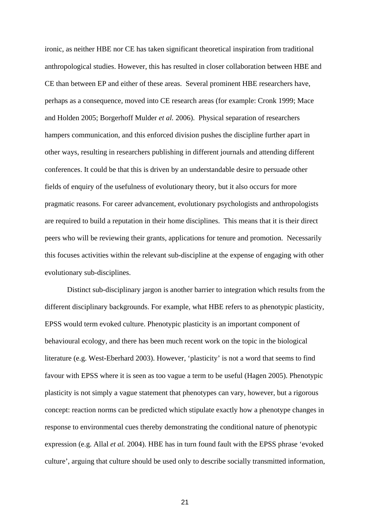ironic, as neither HBE nor CE has taken significant theoretical inspiration from traditional anthropological studies. However, this has resulted in closer collaboration between HBE and CE than between EP and either of these areas. Several prominent HBE researchers have, perhaps as a consequence, moved into CE research areas (for example: Cronk 1999; Mace and Holden 2005; Borgerhoff Mulder *et al.* 2006). Physical separation of researchers hampers communication, and this enforced division pushes the discipline further apart in other ways, resulting in researchers publishing in different journals and attending different conferences. It could be that this is driven by an understandable desire to persuade other fields of enquiry of the usefulness of evolutionary theory, but it also occurs for more pragmatic reasons. For career advancement, evolutionary psychologists and anthropologists are required to build a reputation in their home disciplines. This means that it is their direct peers who will be reviewing their grants, applications for tenure and promotion. Necessarily this focuses activities within the relevant sub-discipline at the expense of engaging with other evolutionary sub-disciplines.

Distinct sub-disciplinary jargon is another barrier to integration which results from the different disciplinary backgrounds. For example, what HBE refers to as phenotypic plasticity, EPSS would term evoked culture. Phenotypic plasticity is an important component of behavioural ecology, and there has been much recent work on the topic in the biological literature (e.g. West-Eberhard 2003). However, 'plasticity' is not a word that seems to find favour with EPSS where it is seen as too vague a term to be useful (Hagen 2005). Phenotypic plasticity is not simply a vague statement that phenotypes can vary, however, but a rigorous concept: reaction norms can be predicted which stipulate exactly how a phenotype changes in response to environmental cues thereby demonstrating the conditional nature of phenotypic expression (e.g. Allal *et al.* 2004). HBE has in turn found fault with the EPSS phrase 'evoked culture', arguing that culture should be used only to describe socially transmitted information,

<u>21 and 21</u>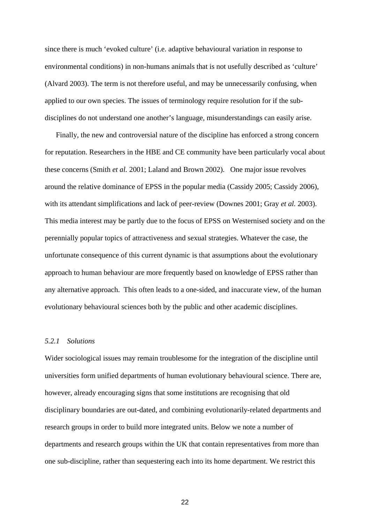since there is much 'evoked culture' (i.e. adaptive behavioural variation in response to environmental conditions) in non-humans animals that is not usefully described as 'culture' (Alvard 2003). The term is not therefore useful, and may be unnecessarily confusing, when applied to our own species. The issues of terminology require resolution for if the subdisciplines do not understand one another's language, misunderstandings can easily arise.

Finally, the new and controversial nature of the discipline has enforced a strong concern for reputation. Researchers in the HBE and CE community have been particularly vocal about these concerns (Smith *et al.* 2001; Laland and Brown 2002). One major issue revolves around the relative dominance of EPSS in the popular media (Cassidy 2005; Cassidy 2006), with its attendant simplifications and lack of peer-review (Downes 2001; Gray *et al.* 2003). This media interest may be partly due to the focus of EPSS on Westernised society and on the perennially popular topics of attractiveness and sexual strategies. Whatever the case, the unfortunate consequence of this current dynamic is that assumptions about the evolutionary approach to human behaviour are more frequently based on knowledge of EPSS rather than any alternative approach. This often leads to a one-sided, and inaccurate view, of the human evolutionary behavioural sciences both by the public and other academic disciplines.

#### *5.2.1 Solutions*

Wider sociological issues may remain troublesome for the integration of the discipline until universities form unified departments of human evolutionary behavioural science. There are, however, already encouraging signs that some institutions are recognising that old disciplinary boundaries are out-dated, and combining evolutionarily-related departments and research groups in order to build more integrated units. Below we note a number of departments and research groups within the UK that contain representatives from more than one sub-discipline, rather than sequestering each into its home department. We restrict this

<u>22</u>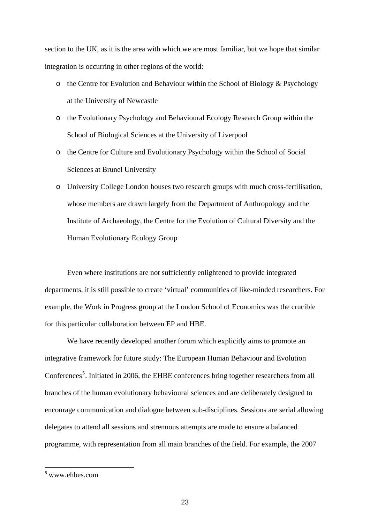<span id="page-22-0"></span>section to the UK, as it is the area with which we are most familiar, but we hope that similar integration is occurring in other regions of the world:

- o the Centre for Evolution and Behaviour within the School of Biology & Psychology at the University of Newcastle
- o the Evolutionary Psychology and Behavioural Ecology Research Group within the School of Biological Sciences at the University of Liverpool
- o the Centre for Culture and Evolutionary Psychology within the School of Social Sciences at Brunel University
- o University College London houses two research groups with much cross-fertilisation, whose members are drawn largely from the Department of Anthropology and the Institute of Archaeology, the Centre for the Evolution of Cultural Diversity and the Human Evolutionary Ecology Group

Even where institutions are not sufficiently enlightened to provide integrated departments, it is still possible to create 'virtual' communities of like-minded researchers. For example, the Work in Progress group at the London School of Economics was the crucible for this particular collaboration between EP and HBE.

We have recently developed another forum which explicitly aims to promote an integrative framework for future study: The European Human Behaviour and Evolution Conferences<sup>[5](#page-22-0)</sup>. Initiated in 2006, the EHBE conferences bring together researchers from all branches of the human evolutionary behavioural sciences and are deliberately designed to encourage communication and dialogue between sub-disciplines. Sessions are serial allowing delegates to attend all sessions and strenuous attempts are made to ensure a balanced programme, with representation from all main branches of the field. For example, the 2007

 $\overline{a}$ 

<sup>5</sup> www.ehbes.com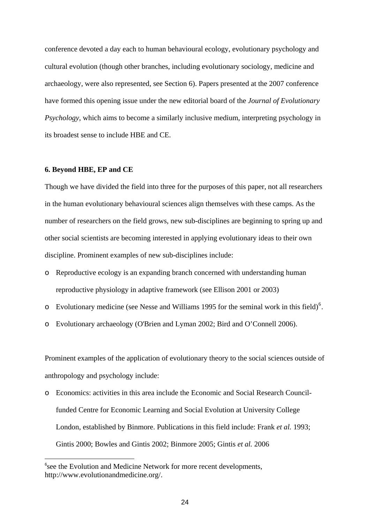<span id="page-23-0"></span>conference devoted a day each to human behavioural ecology, evolutionary psychology and cultural evolution (though other branches, including evolutionary sociology, medicine and archaeology, were also represented, see Section 6). Papers presented at the 2007 conference have formed this opening issue under the new editorial board of the *Journal of Evolutionary Psychology*, which aims to become a similarly inclusive medium, interpreting psychology in its broadest sense to include HBE and CE.

#### **6. Beyond HBE, EP and CE**

-

Though we have divided the field into three for the purposes of this paper, not all researchers in the human evolutionary behavioural sciences align themselves with these camps. As the number of researchers on the field grows, new sub-disciplines are beginning to spring up and other social scientists are becoming interested in applying evolutionary ideas to their own discipline. Prominent examples of new sub-disciplines include:

- o Reproductive ecology is an expanding branch concerned with understanding human reproductive physiology in adaptive framework (see Ellison 2001 or 2003)
- $\circ$  Evolutionary medicine (see Nesse and Williams 1995 for the seminal work in this field)<sup>[6](#page-23-0)</sup>.
- o Evolutionary archaeology (O'Brien and Lyman 2002; Bird and O'Connell 2006).

Prominent examples of the application of evolutionary theory to the social sciences outside of anthropology and psychology include:

o Economics: activities in this area include the Economic and Social Research Councilfunded Centre for Economic Learning and Social Evolution at University College London, established by Binmore. Publications in this field include: Frank *et al.* 1993; Gintis 2000; Bowles and Gintis 2002; Binmore 2005; Gintis *et al.* 2006

<sup>&</sup>lt;sup>6</sup>see the Evolution and Medicine Network for more recent developments, http://www.evolutionandmedicine.org/.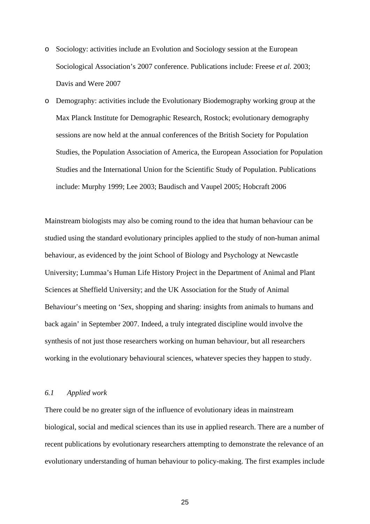- o Sociology: activities include an Evolution and Sociology session at the European Sociological Association's 2007 conference. Publications include: Freese *et al.* 2003; Davis and Were 2007
- o Demography: activities include the Evolutionary Biodemography working group at the Max Planck Institute for Demographic Research, Rostock; evolutionary demography sessions are now held at the annual conferences of the British Society for Population Studies, the Population Association of America, the European Association for Population Studies and the International Union for the Scientific Study of Population. Publications include: Murphy 1999; Lee 2003; Baudisch and Vaupel 2005; Hobcraft 2006

Mainstream biologists may also be coming round to the idea that human behaviour can be studied using the standard evolutionary principles applied to the study of non-human animal behaviour, as evidenced by the joint School of Biology and Psychology at Newcastle University; Lummaa's Human Life History Project in the Department of Animal and Plant Sciences at Sheffield University; and the UK Association for the Study of Animal Behaviour's meeting on 'Sex, shopping and sharing: insights from animals to humans and back again' in September 2007. Indeed, a truly integrated discipline would involve the synthesis of not just those researchers working on human behaviour, but all researchers working in the evolutionary behavioural sciences, whatever species they happen to study.

# *6.1 Applied work*

There could be no greater sign of the influence of evolutionary ideas in mainstream biological, social and medical sciences than its use in applied research. There are a number of recent publications by evolutionary researchers attempting to demonstrate the relevance of an evolutionary understanding of human behaviour to policy-making. The first examples include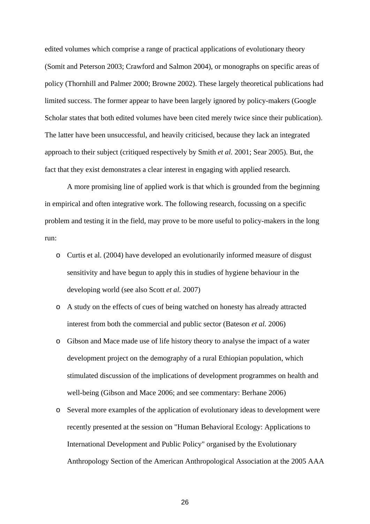edited volumes which comprise a range of practical applications of evolutionary theory (Somit and Peterson 2003; Crawford and Salmon 2004), or monographs on specific areas of policy (Thornhill and Palmer 2000; Browne 2002). These largely theoretical publications had limited success. The former appear to have been largely ignored by policy-makers (Google Scholar states that both edited volumes have been cited merely twice since their publication). The latter have been unsuccessful, and heavily criticised, because they lack an integrated approach to their subject (critiqued respectively by Smith *et al.* 2001; Sear 2005). But, the fact that they exist demonstrates a clear interest in engaging with applied research.

 A more promising line of applied work is that which is grounded from the beginning in empirical and often integrative work. The following research, focussing on a specific problem and testing it in the field, may prove to be more useful to policy-makers in the long run:

- o Curtis et al. (2004) have developed an evolutionarily informed measure of disgust sensitivity and have begun to apply this in studies of hygiene behaviour in the developing world (see also Scott *et al.* 2007)
- o A study on the effects of cues of being watched on honesty has already attracted interest from both the commercial and public sector (Bateson *et al.* 2006)
- o Gibson and Mace made use of life history theory to analyse the impact of a water development project on the demography of a rural Ethiopian population, which stimulated discussion of the implications of development programmes on health and well-being (Gibson and Mace 2006; and see commentary: Berhane 2006)
- o Several more examples of the application of evolutionary ideas to development were recently presented at the session on "Human Behavioral Ecology: Applications to International Development and Public Policy" organised by the Evolutionary Anthropology Section of the American Anthropological Association at the 2005 AAA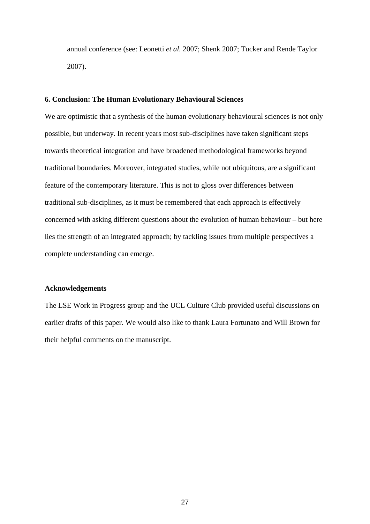annual conference (see: Leonetti *et al.* 2007; Shenk 2007; Tucker and Rende Taylor 2007).

# **6. Conclusion: The Human Evolutionary Behavioural Sciences**

We are optimistic that a synthesis of the human evolutionary behavioural sciences is not only possible, but underway. In recent years most sub-disciplines have taken significant steps towards theoretical integration and have broadened methodological frameworks beyond traditional boundaries. Moreover, integrated studies, while not ubiquitous, are a significant feature of the contemporary literature. This is not to gloss over differences between traditional sub-disciplines, as it must be remembered that each approach is effectively concerned with asking different questions about the evolution of human behaviour – but here lies the strength of an integrated approach; by tackling issues from multiple perspectives a complete understanding can emerge.

#### **Acknowledgements**

The LSE Work in Progress group and the UCL Culture Club provided useful discussions on earlier drafts of this paper. We would also like to thank Laura Fortunato and Will Brown for their helpful comments on the manuscript.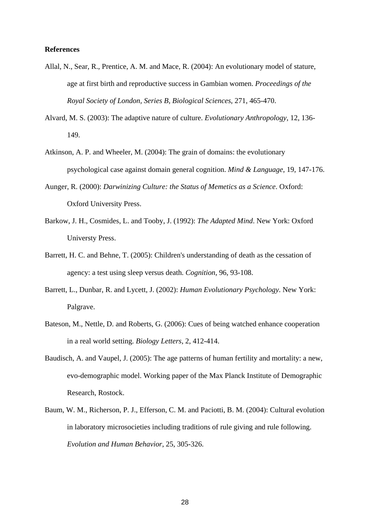#### **References**

- Allal, N., Sear, R., Prentice, A. M. and Mace, R. (2004): An evolutionary model of stature, age at first birth and reproductive success in Gambian women. *Proceedings of the Royal Society of London, Series B, Biological Sciences*, 271, 465-470.
- Alvard, M. S. (2003): The adaptive nature of culture. *Evolutionary Anthropology*, 12, 136- 149.
- Atkinson, A. P. and Wheeler, M. (2004): The grain of domains: the evolutionary psychological case against domain general cognition. *Mind & Language*, 19, 147-176.
- Aunger, R. (2000): *Darwinizing Culture: the Status of Memetics as a Science*. Oxford: Oxford University Press.
- Barkow, J. H., Cosmides, L. and Tooby, J. (1992): *The Adapted Mind*. New York: Oxford Universty Press.
- Barrett, H. C. and Behne, T. (2005): Children's understanding of death as the cessation of agency: a test using sleep versus death. *Cognition*, 96, 93-108.
- Barrett, L., Dunbar, R. and Lycett, J. (2002): *Human Evolutionary Psychology*. New York: Palgrave.
- Bateson, M., Nettle, D. and Roberts, G. (2006): Cues of being watched enhance cooperation in a real world setting. *Biology Letters*, 2, 412-414.
- Baudisch, A. and Vaupel, J. (2005): The age patterns of human fertility and mortality: a new, evo-demographic model. Working paper of the Max Planck Institute of Demographic Research, Rostock.
- Baum, W. M., Richerson, P. J., Efferson, C. M. and Paciotti, B. M. (2004): Cultural evolution in laboratory microsocieties including traditions of rule giving and rule following. *Evolution and Human Behavior*, 25, 305-326.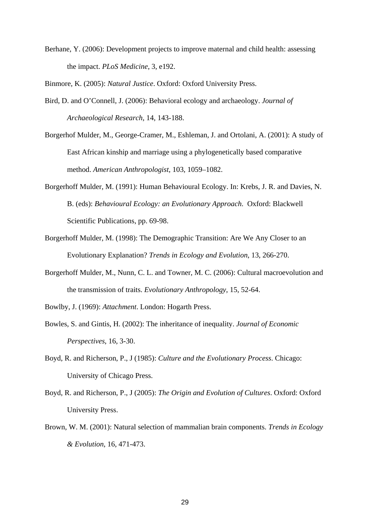Berhane, Y. (2006): Development projects to improve maternal and child health: assessing the impact. *PLoS Medicine*, 3, e192.

Binmore, K. (2005): *Natural Justice*. Oxford: Oxford University Press.

- Bird, D. and O'Connell, J. (2006): Behavioral ecology and archaeology. *Journal of Archaeological Research*, 14, 143-188.
- Borgerhof Mulder, M., George-Cramer, M., Eshleman, J. and Ortolani, A. (2001): A study of East African kinship and marriage using a phylogenetically based comparative method. *American Anthropologist*, 103, 1059–1082.
- Borgerhoff Mulder, M. (1991): Human Behavioural Ecology. In: Krebs, J. R. and Davies, N. B. (eds): *Behavioural Ecology: an Evolutionary Approach*. Oxford: Blackwell Scientific Publications, pp. 69-98.
- Borgerhoff Mulder, M. (1998): The Demographic Transition: Are We Any Closer to an Evolutionary Explanation? *Trends in Ecology and Evolution*, 13, 266-270.
- Borgerhoff Mulder, M., Nunn, C. L. and Towner, M. C. (2006): Cultural macroevolution and the transmission of traits. *Evolutionary Anthropology*, 15, 52-64.
- Bowlby, J. (1969): *Attachment*. London: Hogarth Press.
- Bowles, S. and Gintis, H. (2002): The inheritance of inequality. *Journal of Economic Perspectives*, 16, 3-30.
- Boyd, R. and Richerson, P., J (1985): *Culture and the Evolutionary Process*. Chicago: University of Chicago Press.
- Boyd, R. and Richerson, P., J (2005): *The Origin and Evolution of Cultures*. Oxford: Oxford University Press.
- Brown, W. M. (2001): Natural selection of mammalian brain components. *Trends in Ecology & Evolution*, 16, 471-473.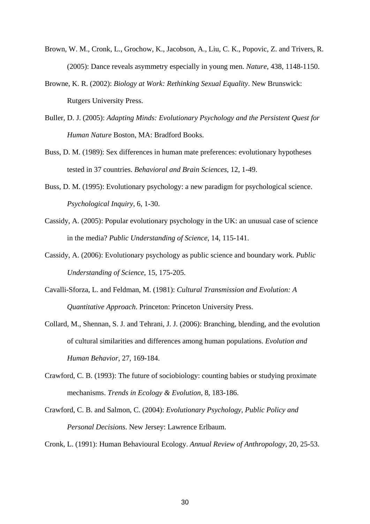- Brown, W. M., Cronk, L., Grochow, K., Jacobson, A., Liu, C. K., Popovic, Z. and Trivers, R. (2005): Dance reveals asymmetry especially in young men. *Nature*, 438, 1148-1150.
- Browne, K. R. (2002): *Biology at Work: Rethinking Sexual Equality*. New Brunswick: Rutgers University Press.
- Buller, D. J. (2005): *Adapting Minds: Evolutionary Psychology and the Persistent Quest for Human Nature* Boston, MA: Bradford Books.
- Buss, D. M. (1989): Sex differences in human mate preferences: evolutionary hypotheses tested in 37 countries. *Behavioral and Brain Sciences*, 12, 1-49.
- Buss, D. M. (1995): Evolutionary psychology: a new paradigm for psychological science. *Psychological Inquiry*, 6, 1-30.
- Cassidy, A. (2005): Popular evolutionary psychology in the UK: an unusual case of science in the media? *Public Understanding of Science*, 14, 115-141.
- Cassidy, A. (2006): Evolutionary psychology as public science and boundary work. *Public Understanding of Science*, 15, 175-205.
- Cavalli-Sforza, L. and Feldman, M. (1981): *Cultural Transmission and Evolution: A Quantitative Approach*. Princeton: Princeton University Press.
- Collard, M., Shennan, S. J. and Tehrani, J. J. (2006): Branching, blending, and the evolution of cultural similarities and differences among human populations. *Evolution and Human Behavior*, 27, 169-184.
- Crawford, C. B. (1993): The future of sociobiology: counting babies or studying proximate mechanisms. *Trends in Ecology & Evolution*, 8, 183-186.
- Crawford, C. B. and Salmon, C. (2004): *Evolutionary Psychology, Public Policy and Personal Decisions*. New Jersey: Lawrence Erlbaum.

Cronk, L. (1991): Human Behavioural Ecology. *Annual Review of Anthropology*, 20, 25-53.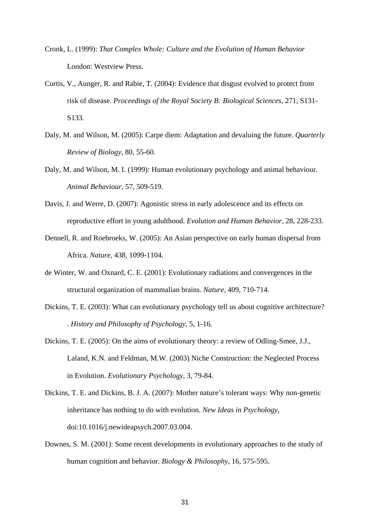- Cronk, L. (1999): *That Complex Whole: Culture and the Evolution of Human Behavior*  London: Westview Press.
- Curtis, V., Aunger, R. and Rabie, T. (2004): Evidence that disgust evolved to protect from risk of disease. *Proceedings of the Royal Society B: Biological Sciences*, 271, S131- S133.
- Daly, M. and Wilson, M. (2005): Carpe diem: Adaptation and devaluing the future. *Quarterly Review of Biology*, 80, 55-60.
- Daly, M. and Wilson, M. I. (1999): Human evolutionary psychology and animal behaviour. *Animal Behaviour*, 57, 509-519.
- Davis, J. and Werre, D. (2007): Agonistic stress in early adolescence and its effects on reproductive effort in young adulthood. *Evolution and Human Behavior*, 28, 228-233.
- Dennell, R. and Roebroeks, W. (2005): An Asian perspective on early human dispersal from Africa. *Nature*, 438, 1099-1104.
- de Winter, W. and Oxnard, C. E. (2001): Evolutionary radiations and convergences in the structural organization of mammalian brains. *Nature*, 409, 710-714.
- Dickins, T. E. (2003): What can evolutionary psychology tell us about cognitive architecture? . *History and Philosophy of Psychology*, 5, 1-16.
- Dickins, T. E. (2005): On the aims of evolutionary theory: a review of Odling-Smee, J.J., Laland, K.N. and Feldman, M.W. (2003) Niche Construction: the Neglected Process in Evolution. *Evolutionary Psychology*, 3, 79-84.
- Dickins, T. E. and Dickins, B. J. A. (2007): Mother nature's tolerant ways: Why non-genetic inheritance has nothing to do with evolution. *New Ideas in Psychology*, doi:10.1016/j.newideapsych.2007.03.004.
- Downes, S. M. (2001): Some recent developments in evolutionary approaches to the study of human cognition and behavior. *Biology & Philosophy*, 16, 575-595.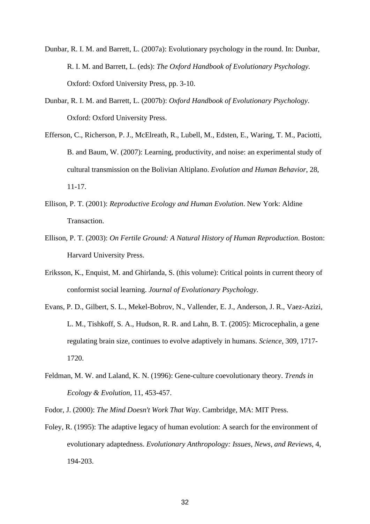- Dunbar, R. I. M. and Barrett, L. (2007a): Evolutionary psychology in the round. In: Dunbar, R. I. M. and Barrett, L. (eds): *The Oxford Handbook of Evolutionary Psychology*. Oxford: Oxford University Press, pp. 3-10.
- Dunbar, R. I. M. and Barrett, L. (2007b): *Oxford Handbook of Evolutionary Psychology*. Oxford: Oxford University Press.
- Efferson, C., Richerson, P. J., McElreath, R., Lubell, M., Edsten, E., Waring, T. M., Paciotti, B. and Baum, W. (2007): Learning, productivity, and noise: an experimental study of cultural transmission on the Bolivian Altiplano. *Evolution and Human Behavior*, 28, 11-17.
- Ellison, P. T. (2001): *Reproductive Ecology and Human Evolution*. New York: Aldine Transaction.
- Ellison, P. T. (2003): *On Fertile Ground: A Natural History of Human Reproduction*. Boston: Harvard University Press.
- Eriksson, K., Enquist, M. and Ghirlanda, S. (this volume): Critical points in current theory of conformist social learning. *Journal of Evolutionary Psychology*.
- Evans, P. D., Gilbert, S. L., Mekel-Bobrov, N., Vallender, E. J., Anderson, J. R., Vaez-Azizi, L. M., Tishkoff, S. A., Hudson, R. R. and Lahn, B. T. (2005): Microcephalin, a gene regulating brain size, continues to evolve adaptively in humans. *Science*, 309, 1717- 1720.
- Feldman, M. W. and Laland, K. N. (1996): Gene-culture coevolutionary theory. *Trends in Ecology & Evolution*, 11, 453-457.
- Fodor, J. (2000): *The Mind Doesn't Work That Way*. Cambridge, MA: MIT Press.
- Foley, R. (1995): The adaptive legacy of human evolution: A search for the environment of evolutionary adaptedness. *Evolutionary Anthropology: Issues, News, and Reviews*, 4, 194-203.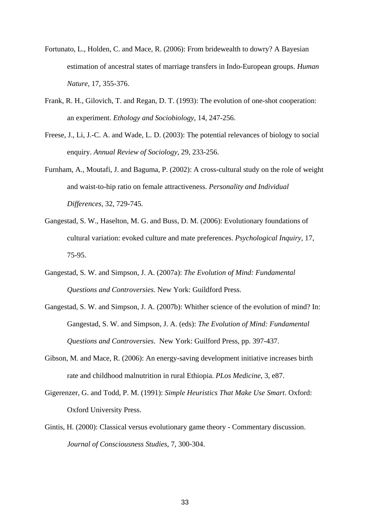- Fortunato, L., Holden, C. and Mace, R. (2006): From bridewealth to dowry? A Bayesian estimation of ancestral states of marriage transfers in Indo-European groups. *Human Nature*, 17, 355-376.
- Frank, R. H., Gilovich, T. and Regan, D. T. (1993): The evolution of one-shot cooperation: an experiment. *Ethology and Sociobiology*, 14, 247-256.
- Freese, J., Li, J.-C. A. and Wade, L. D. (2003): The potential relevances of biology to social enquiry. *Annual Review of Sociology*, 29, 233-256.
- Furnham, A., Moutafi, J. and Baguma, P. (2002): A cross-cultural study on the role of weight and waist-to-hip ratio on female attractiveness. *Personality and Individual Differences*, 32, 729-745.
- Gangestad, S. W., Haselton, M. G. and Buss, D. M. (2006): Evolutionary foundations of cultural variation: evoked culture and mate preferences. *Psychological Inquiry*, 17, 75-95.
- Gangestad, S. W. and Simpson, J. A. (2007a): *The Evolution of Mind: Fundamental Questions and Controversies*. New York: Guildford Press.
- Gangestad, S. W. and Simpson, J. A. (2007b): Whither science of the evolution of mind? In: Gangestad, S. W. and Simpson, J. A. (eds): *The Evolution of Mind: Fundamental Questions and Controversies*. New York: Guilford Press, pp. 397-437.
- Gibson, M. and Mace, R. (2006): An energy-saving development initiative increases birth rate and childhood malnutrition in rural Ethiopia. *PLos Medicine*, 3, e87.
- Gigerenzer, G. and Todd, P. M. (1991): *Simple Heuristics That Make Use Smart*. Oxford: Oxford University Press.
- Gintis, H. (2000): Classical versus evolutionary game theory Commentary discussion. *Journal of Consciousness Studies*, 7, 300-304.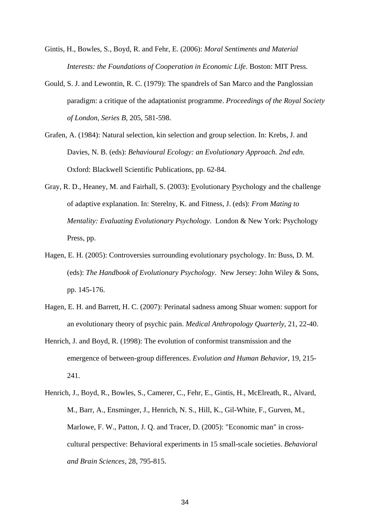- Gintis, H., Bowles, S., Boyd, R. and Fehr, E. (2006): *Moral Sentiments and Material Interests: the Foundations of Cooperation in Economic Life*. Boston: MIT Press.
- Gould, S. J. and Lewontin, R. C. (1979): The spandrels of San Marco and the Panglossian paradigm: a critique of the adaptationist programme. *Proceedings of the Royal Society of London, Series B*, 205, 581-598.
- Grafen, A. (1984): Natural selection, kin selection and group selection. In: Krebs, J. and Davies, N. B. (eds): *Behavioural Ecology: an Evolutionary Approach. 2nd edn*. Oxford: Blackwell Scientific Publications, pp. 62-84.
- Gray, R. D., Heaney, M. and Fairhall, S. (2003): Evolutionary Psychology and the challenge of adaptive explanation. In: Sterelny, K. and Fitness, J. (eds): *From Mating to Mentality: Evaluating Evolutionary Psychology*. London & New York: Psychology Press, pp.
- Hagen, E. H. (2005): Controversies surrounding evolutionary psychology. In: Buss, D. M. (eds): *The Handbook of Evolutionary Psychology*. New Jersey: John Wiley & Sons, pp. 145-176.
- Hagen, E. H. and Barrett, H. C. (2007): Perinatal sadness among Shuar women: support for an evolutionary theory of psychic pain. *Medical Anthropology Quarterly*, 21, 22-40.
- Henrich, J. and Boyd, R. (1998): The evolution of conformist transmission and the emergence of between-group differences. *Evolution and Human Behavior*, 19, 215- 241.
- Henrich, J., Boyd, R., Bowles, S., Camerer, C., Fehr, E., Gintis, H., McElreath, R., Alvard, M., Barr, A., Ensminger, J., Henrich, N. S., Hill, K., Gil-White, F., Gurven, M., Marlowe, F. W., Patton, J. Q. and Tracer, D. (2005): "Economic man" in crosscultural perspective: Behavioral experiments in 15 small-scale societies. *Behavioral and Brain Sciences*, 28, 795-815.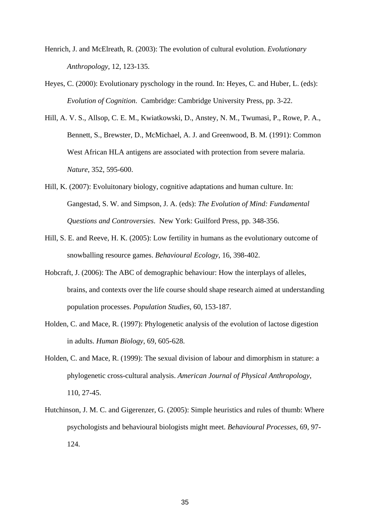- Henrich, J. and McElreath, R. (2003): The evolution of cultural evolution. *Evolutionary Anthropology*, 12, 123-135.
- Heyes, C. (2000): Evolutionary pyschology in the round. In: Heyes, C. and Huber, L. (eds): *Evolution of Cognition*. Cambridge: Cambridge University Press, pp. 3-22.
- Hill, A. V. S., Allsop, C. E. M., Kwiatkowski, D., Anstey, N. M., Twumasi, P., Rowe, P. A., Bennett, S., Brewster, D., McMichael, A. J. and Greenwood, B. M. (1991): Common West African HLA antigens are associated with protection from severe malaria. *Nature*, 352, 595-600.
- Hill, K. (2007): Evoluitonary biology, cognitive adaptations and human culture. In: Gangestad, S. W. and Simpson, J. A. (eds): *The Evolution of Mind: Fundamental Questions and Controversies*. New York: Guilford Press, pp. 348-356.
- Hill, S. E. and Reeve, H. K. (2005): Low fertility in humans as the evolutionary outcome of snowballing resource games. *Behavioural Ecology*, 16, 398-402.
- Hobcraft, J. (2006): The ABC of demographic behaviour: How the interplays of alleles, brains, and contexts over the life course should shape research aimed at understanding population processes. *Population Studies*, 60, 153-187.
- Holden, C. and Mace, R. (1997): Phylogenetic analysis of the evolution of lactose digestion in adults. *Human Biology*, 69, 605-628.
- Holden, C. and Mace, R. (1999): The sexual division of labour and dimorphism in stature: a phylogenetic cross-cultural analysis. *American Journal of Physical Anthropology*, 110, 27-45.
- Hutchinson, J. M. C. and Gigerenzer, G. (2005): Simple heuristics and rules of thumb: Where psychologists and behavioural biologists might meet. *Behavioural Processes*, 69, 97- 124.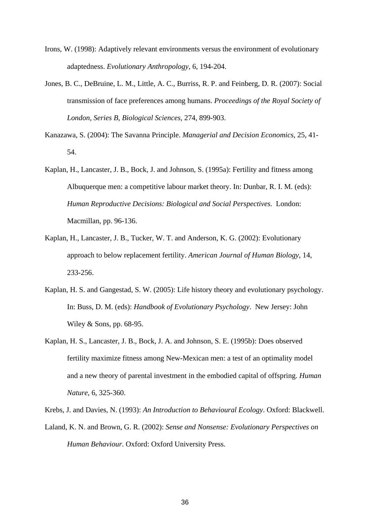- Irons, W. (1998): Adaptively relevant environments versus the environment of evolutionary adaptedness. *Evolutionary Anthropology*, 6, 194-204.
- Jones, B. C., DeBruine, L. M., Little, A. C., Burriss, R. P. and Feinberg, D. R. (2007): Social transmission of face preferences among humans. *Proceedings of the Royal Society of London, Series B, Biological Sciences*, 274, 899-903.
- Kanazawa, S. (2004): The Savanna Principle. *Managerial and Decision Economics*, 25, 41- 54.
- Kaplan, H., Lancaster, J. B., Bock, J. and Johnson, S. (1995a): Fertility and fitness among Albuquerque men: a competitive labour market theory. In: Dunbar, R. I. M. (eds): *Human Reproductive Decisions: Biological and Social Perspectives*. London: Macmillan, pp. 96-136.
- Kaplan, H., Lancaster, J. B., Tucker, W. T. and Anderson, K. G. (2002): Evolutionary approach to below replacement fertility. *American Journal of Human Biology*, 14, 233-256.
- Kaplan, H. S. and Gangestad, S. W. (2005): Life history theory and evolutionary psychology. In: Buss, D. M. (eds): *Handbook of Evolutionary Psychology*. New Jersey: John Wiley & Sons, pp. 68-95.
- Kaplan, H. S., Lancaster, J. B., Bock, J. A. and Johnson, S. E. (1995b): Does observed fertility maximize fitness among New-Mexican men: a test of an optimality model and a new theory of parental investment in the embodied capital of offspring. *Human Nature*, 6, 325-360.
- Krebs, J. and Davies, N. (1993): *An Introduction to Behavioural Ecology*. Oxford: Blackwell.
- Laland, K. N. and Brown, G. R. (2002): *Sense and Nonsense: Evolutionary Perspectives on Human Behaviour*. Oxford: Oxford University Press.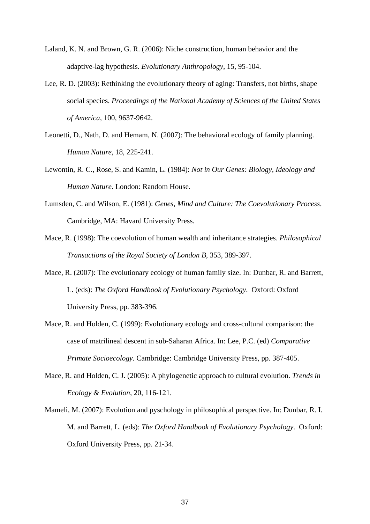- Laland, K. N. and Brown, G. R. (2006): Niche construction, human behavior and the adaptive-lag hypothesis. *Evolutionary Anthropology*, 15, 95-104.
- Lee, R. D. (2003): Rethinking the evolutionary theory of aging: Transfers, not births, shape social species. *Proceedings of the National Academy of Sciences of the United States of America*, 100, 9637-9642.
- Leonetti, D., Nath, D. and Hemam, N. (2007): The behavioral ecology of family planning. *Human Nature*, 18, 225-241.
- Lewontin, R. C., Rose, S. and Kamin, L. (1984): *Not in Our Genes: Biology, Ideology and Human Nature*. London: Random House.
- Lumsden, C. and Wilson, E. (1981): *Genes, Mind and Culture: The Coevolutionary Process*. Cambridge, MA: Havard University Press.
- Mace, R. (1998): The coevolution of human wealth and inheritance strategies. *Philosophical Transactions of the Royal Society of London B*, 353, 389-397.
- Mace, R. (2007): The evolutionary ecology of human family size. In: Dunbar, R. and Barrett, L. (eds): *The Oxford Handbook of Evolutionary Psychology*. Oxford: Oxford University Press, pp. 383-396.
- Mace, R. and Holden, C. (1999): Evolutionary ecology and cross-cultural comparison: the case of matrilineal descent in sub-Saharan Africa. In: Lee, P.C. (ed) *Comparative Primate Socioecology*. Cambridge: Cambridge University Press, pp. 387-405.
- Mace, R. and Holden, C. J. (2005): A phylogenetic approach to cultural evolution. *Trends in Ecology & Evolution*, 20, 116-121.
- Mameli, M. (2007): Evolution and pyschology in philosophical perspective. In: Dunbar, R. I. M. and Barrett, L. (eds): *The Oxford Handbook of Evolutionary Psychology*. Oxford: Oxford University Press, pp. 21-34.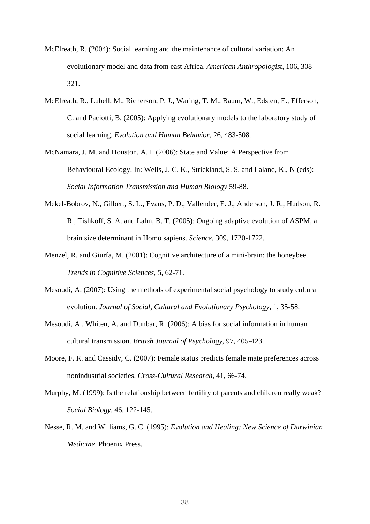- McElreath, R. (2004): Social learning and the maintenance of cultural variation: An evolutionary model and data from east Africa. *American Anthropologist*, 106, 308- 321.
- McElreath, R., Lubell, M., Richerson, P. J., Waring, T. M., Baum, W., Edsten, E., Efferson, C. and Paciotti, B. (2005): Applying evolutionary models to the laboratory study of social learning. *Evolution and Human Behavior*, 26, 483-508.
- McNamara, J. M. and Houston, A. I. (2006): State and Value: A Perspective from Behavioural Ecology. In: Wells, J. C. K., Strickland, S. S. and Laland, K., N (eds): *Social Information Transmission and Human Biology* 59-88.
- Mekel-Bobrov, N., Gilbert, S. L., Evans, P. D., Vallender, E. J., Anderson, J. R., Hudson, R. R., Tishkoff, S. A. and Lahn, B. T. (2005): Ongoing adaptive evolution of ASPM, a brain size determinant in Homo sapiens. *Science*, 309, 1720-1722.
- Menzel, R. and Giurfa, M. (2001): Cognitive architecture of a mini-brain: the honeybee. *Trends in Cognitive Sciences*, 5, 62-71.
- Mesoudi, A. (2007): Using the methods of experimental social psychology to study cultural evolution. *Journal of Social, Cultural and Evolutionary Psychology*, 1, 35-58.
- Mesoudi, A., Whiten, A. and Dunbar, R. (2006): A bias for social information in human cultural transmission. *British Journal of Psychology*, 97, 405-423.
- Moore, F. R. and Cassidy, C. (2007): Female status predicts female mate preferences across nonindustrial societies. *Cross-Cultural Research*, 41, 66-74.
- Murphy, M. (1999): Is the relationship between fertility of parents and children really weak? *Social Biology*, 46, 122-145.
- Nesse, R. M. and Williams, G. C. (1995): *Evolution and Healing: New Science of Darwinian Medicine*. Phoenix Press.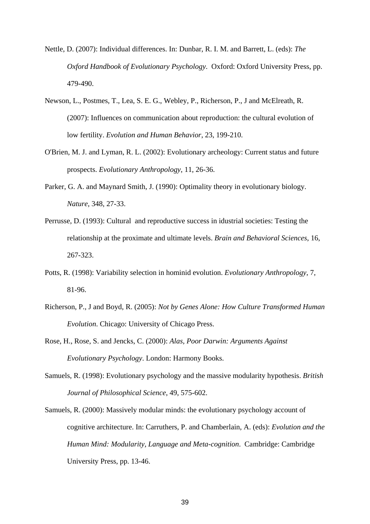- Nettle, D. (2007): Individual differences. In: Dunbar, R. I. M. and Barrett, L. (eds): *The Oxford Handbook of Evolutionary Psychology*. Oxford: Oxford University Press, pp. 479-490.
- Newson, L., Postmes, T., Lea, S. E. G., Webley, P., Richerson, P., J and McElreath, R. (2007): Influences on communication about reproduction: the cultural evolution of low fertility. *Evolution and Human Behavior*, 23, 199-210.
- O'Brien, M. J. and Lyman, R. L. (2002): Evolutionary archeology: Current status and future prospects. *Evolutionary Anthropology*, 11, 26-36.
- Parker, G. A. and Maynard Smith, J. (1990): Optimality theory in evolutionary biology. *Nature*, 348, 27-33.
- Perrusse, D. (1993): Cultural and reproductive success in idustrial societies: Testing the relationship at the proximate and ultimate levels. *Brain and Behavioral Sciences*, 16, 267-323.
- Potts, R. (1998): Variability selection in hominid evolution. *Evolutionary Anthropology*, 7, 81-96.
- Richerson, P., J and Boyd, R. (2005): *Not by Genes Alone: How Culture Transformed Human Evolution*. Chicago: University of Chicago Press.
- Rose, H., Rose, S. and Jencks, C. (2000): *Alas, Poor Darwin: Arguments Against Evolutionary Psychology*. London: Harmony Books.
- Samuels, R. (1998): Evolutionary psychology and the massive modularity hypothesis. *British Journal of Philosophical Science*, 49, 575-602.
- Samuels, R. (2000): Massively modular minds: the evolutionary psychology account of cognitive architecture. In: Carruthers, P. and Chamberlain, A. (eds): *Evolution and the Human Mind: Modularity, Language and Meta-cognition*. Cambridge: Cambridge University Press, pp. 13-46.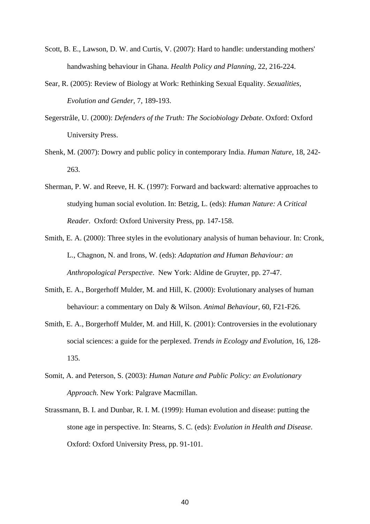- Scott, B. E., Lawson, D. W. and Curtis, V. (2007): Hard to handle: understanding mothers' handwashing behaviour in Ghana. *Health Policy and Planning*, 22, 216-224.
- Sear, R. (2005): Review of Biology at Work: Rethinking Sexual Equality. *Sexualities, Evolution and Gender*, 7, 189-193.
- Segerstråle, U. (2000): *Defenders of the Truth: The Sociobiology Debate*. Oxford: Oxford University Press.
- Shenk, M. (2007): Dowry and public policy in contemporary India. *Human Nature*, 18, 242- 263.
- Sherman, P. W. and Reeve, H. K. (1997): Forward and backward: alternative approaches to studying human social evolution. In: Betzig, L. (eds): *Human Nature: A Critical Reader*. Oxford: Oxford University Press, pp. 147-158.
- Smith, E. A. (2000): Three styles in the evolutionary analysis of human behaviour. In: Cronk, L., Chagnon, N. and Irons, W. (eds): *Adaptation and Human Behaviour: an Anthropological Perspective*. New York: Aldine de Gruyter, pp. 27-47.
- Smith, E. A., Borgerhoff Mulder, M. and Hill, K. (2000): Evolutionary analyses of human behaviour: a commentary on Daly & Wilson. *Animal Behaviour*, 60, F21-F26.
- Smith, E. A., Borgerhoff Mulder, M. and Hill, K. (2001): Controversies in the evolutionary social sciences: a guide for the perplexed. *Trends in Ecology and Evolution*, 16, 128- 135.
- Somit, A. and Peterson, S. (2003): *Human Nature and Public Policy: an Evolutionary Approach*. New York: Palgrave Macmillan.
- Strassmann, B. I. and Dunbar, R. I. M. (1999): Human evolution and disease: putting the stone age in perspective. In: Stearns, S. C. (eds): *Evolution in Health and Disease*. Oxford: Oxford University Press, pp. 91-101.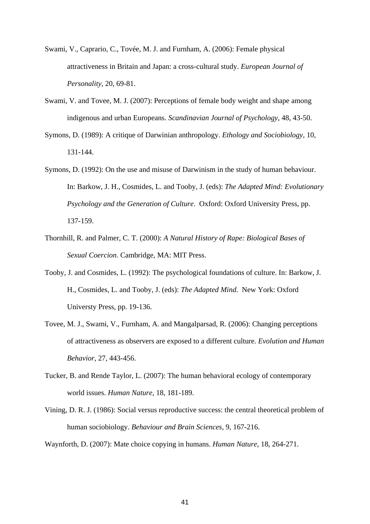- Swami, V., Caprario, C., Tovée, M. J. and Furnham, A. (2006): Female physical attractiveness in Britain and Japan: a cross-cultural study. *European Journal of Personality*, 20, 69-81.
- Swami, V. and Tovee, M. J. (2007): Perceptions of female body weight and shape among indigenous and urban Europeans. *Scandinavian Journal of Psychology*, 48, 43-50.
- Symons, D. (1989): A critique of Darwinian anthropology. *Ethology and Sociobiology*, 10, 131-144.
- Symons, D. (1992): On the use and misuse of Darwinism in the study of human behaviour. In: Barkow, J. H., Cosmides, L. and Tooby, J. (eds): *The Adapted Mind: Evolutionary Psychology and the Generation of Culture*. Oxford: Oxford University Press, pp. 137-159.
- Thornhill, R. and Palmer, C. T. (2000): *A Natural History of Rape: Biological Bases of Sexual Coercion*. Cambridge, MA: MIT Press.
- Tooby, J. and Cosmides, L. (1992): The psychological foundations of culture. In: Barkow, J. H., Cosmides, L. and Tooby, J. (eds): *The Adapted Mind*. New York: Oxford Universty Press, pp. 19-136.
- Tovee, M. J., Swami, V., Furnham, A. and Mangalparsad, R. (2006): Changing perceptions of attractiveness as observers are exposed to a different culture. *Evolution and Human Behavior*, 27, 443-456.
- Tucker, B. and Rende Taylor, L. (2007): The human behavioral ecology of contemporary world issues. *Human Nature*, 18, 181-189.
- Vining, D. R. J. (1986): Social versus reproductive success: the central theoretical problem of human sociobiology. *Behaviour and Brain Sciences*, 9, 167-216.

Waynforth, D. (2007): Mate choice copying in humans. *Human Nature*, 18, 264-271.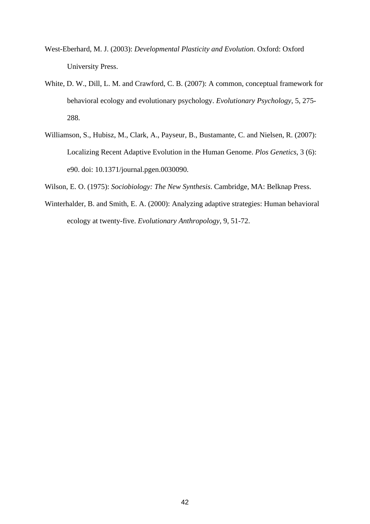- West-Eberhard, M. J. (2003): *Developmental Plasticity and Evolution*. Oxford: Oxford University Press.
- White, D. W., Dill, L. M. and Crawford, C. B. (2007): A common, conceptual framework for behavioral ecology and evolutionary psychology. *Evolutionary Psychology*, 5, 275- 288.
- Williamson, S., Hubisz, M., Clark, A., Payseur, B., Bustamante, C. and Nielsen, R. (2007): Localizing Recent Adaptive Evolution in the Human Genome. *Plos Genetics*, 3 (6): e90. doi: 10.1371/journal.pgen.0030090.
- Wilson, E. O. (1975): *Sociobiology: The New Synthesis*. Cambridge, MA: Belknap Press.
- Winterhalder, B. and Smith, E. A. (2000): Analyzing adaptive strategies: Human behavioral ecology at twenty-five. *Evolutionary Anthropology*, 9, 51-72.